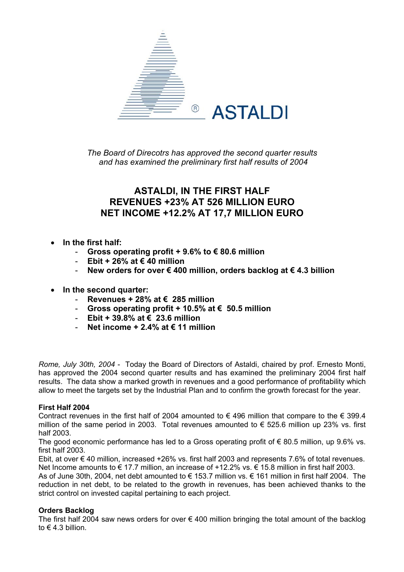

*The Board of Direcotrs has approved the second quarter results and has examined the preliminary first half results of 2004* 

## **ASTALDI, IN THE FIRST HALF REVENUES +23% AT 526 MILLION EURO NET INCOME +12.2% AT 17,7 MILLION EURO**

- **In the first half:** 
	- **Gross operating profit + 9.6% to € 80.6 million**
	- **Ebit + 26% at € 40 million**
	- **New orders for over € 400 million, orders backlog at € 4.3 billion**
- **In the second quarter:** 
	- **Revenues + 28% at € 285 million**
	- **Gross operating profit + 10.5% at € 50.5 million**
	- **Ebit + 39.8% at € 23.6 million**
	- **Net income + 2.4% at € 11 million**

*Rome, July 30th, 2004* - Today the Board of Directors of Astaldi, chaired by prof. Ernesto Monti, has approved the 2004 second quarter results and has examined the preliminary 2004 first half results. The data show a marked growth in revenues and a good performance of profitability which allow to meet the targets set by the Industrial Plan and to confirm the growth forecast for the year.

#### **First Half 2004**

Contract revenues in the first half of 2004 amounted to  $\epsilon$  496 million that compare to the  $\epsilon$  399.4 million of the same period in 2003. Total revenues amounted to  $\epsilon$  525.6 million up 23% vs. first half 2003.

The good economic performance has led to a Gross operating profit of  $\epsilon$  80.5 million, up 9.6% vs. first half 2003.

Ebit, at over € 40 million, increased +26% vs. first half 2003 and represents 7.6% of total revenues. Net Income amounts to € 17.7 million, an increase of +12.2% vs. € 15.8 million in first half 2003.

As of June 30th, 2004, net debt amounted to € 153.7 million vs. € 161 million in first half 2004. The reduction in net debt, to be related to the growth in revenues, has been achieved thanks to the strict control on invested capital pertaining to each project.

#### **Orders Backlog**

The first half 2004 saw news orders for over  $\epsilon$  400 million bringing the total amount of the backlog to  $\epsilon$  4.3 billion.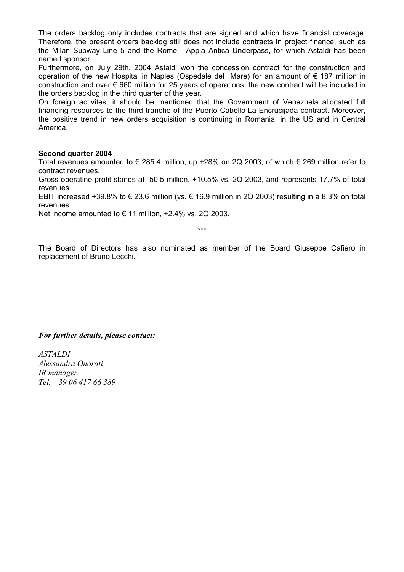The orders backlog only includes contracts that are signed and which have financial coverage. Therefore, the present orders backlog still does not include contracts in project finance, such as the Milan Subway Line 5 and the Rome - Appia Antica Underpass, for which Astaldi has been named sponsor.

Furthermore, on July 29th, 2004 Astaldi won the concession contract for the construction and operation of the new Hospital in Naples (Ospedale del Mare) for an amount of € 187 million in construction and over € 660 million for 25 years of operations; the new contract will be included in the orders backlog in the third quarter of the year.

On foreign activites, it should be mentioned that the Government of Venezuela allocated full financing resources to the third tranche of the Puerto Cabello-La Encrucijada contract. Moreover, the positive trend in new orders acquisition is continuing in Romania, in the US and in Central America.

#### **Second quarter 2004**

Total revenues amounted to € 285.4 million, up +28% on 2Q 2003, of which € 269 million refer to contract revenues.

Gross operatine profit stands at 50.5 million, +10.5% vs. 2Q 2003, and represents 17.7% of total revenues.

EBIT increased +39.8% to  $\epsilon$  23.6 million (vs.  $\epsilon$  16.9 million in 2Q 2003) resulting in a 8.3% on total revenues.

Net income amounted to  $\epsilon$  11 million, +2.4% vs. 2Q 2003.

\*\*\*

The Board of Directors has also nominated as member of the Board Giuseppe Cafiero in replacement of Bruno Lecchi.

#### *For further details, please contact:*

*ASTALDI Alessandra Onorati IR manager Tel. +39 06 417 66 389*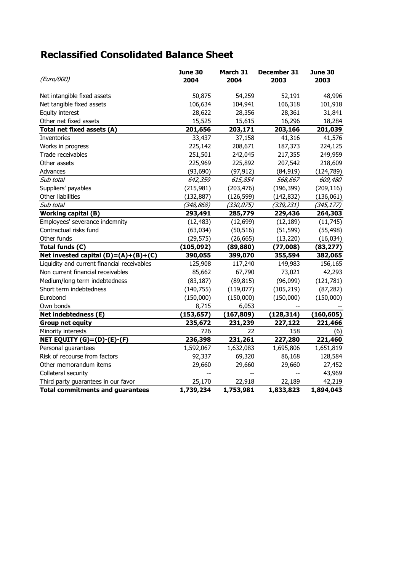# **Reclassified Consolidated Balance Sheet**

| (Euro/000)                                  | June 30<br>2004          | March 31<br>2004       | December 31<br>2003 | June 30<br>2003 |
|---------------------------------------------|--------------------------|------------------------|---------------------|-----------------|
| Net intangible fixed assets                 | 50,875                   | 54,259                 | 52,191              | 48,996          |
| Net tangible fixed assets                   | 106,634                  | 104,941                | 106,318             | 101,918         |
| Equity interest                             | 28,622                   | 28,356                 | 28,361              | 31,841          |
| Other net fixed assets                      | 15,525                   | 15,615                 | 16,296              | 18,284          |
| Total net fixed assets (A)                  | 201,656                  | 203,171                | 203,166             | 201,039         |
| Inventories                                 | 33,437                   | 37,158                 | 41,316              | 41,576          |
| Works in progress                           | 225,142                  | 208,671                | 187,373             | 224,125         |
| Trade receivables                           | 251,501                  | 242,045                | 217,355             | 249,959         |
| Other assets                                | 225,969                  | 225,892                | 207,542             | 218,609         |
| Advances                                    | (93, 690)                | (97, 912)              | (84, 919)           | (124, 789)      |
| Sub total                                   | 642,359                  | 615,854                | 568,667             | 609,480         |
| Suppliers' payables                         | (215,981)                | (203, 476)             | (196, 399)          | (209, 116)      |
| Other liabilities                           | (132, 887)               | (126, 599)             | (142, 832)          | (136,061)       |
| Sub total                                   | $\overline{ ( }348,868)$ | (330, 075)             | (339, 231)          | (345, 177)      |
| <b>Working capital (B)</b>                  | 293,491                  | 285,779                | 229,436             | 264,303         |
| Employees' severance indemnity              | (12, 483)                | (12, 699)              | (12, 189)           | (11, 745)       |
| Contractual risks fund                      | (63, 034)                | (50, 516)              | (51, 599)           | (55, 498)       |
| Other funds                                 | (29, 575)                | (26, 665)              | (13, 220)           | (16, 034)       |
| Total funds (C)                             | (105, 092)               | (89, 880)              | (77,008)            | (83, 277)       |
| Net invested capital (D)=(A)+(B)+(C)        | 390,055                  | 399,070                | 355,594             | 382,065         |
| Liquidity and current financial receivables | 125,908                  | 117,240                | 149,983             | 156,165         |
| Non current financial receivables           | 85,662                   | 67,790                 | 73,021              | 42,293          |
| Medium/long term indebtedness               | (83, 187)                | (89, 815)              | (96,099)            | (121, 781)      |
| Short term indebtedness                     | (140, 755)               | (119, 077)             | (105, 219)          | (87, 282)       |
| Eurobond                                    | (150,000)                | (150,000)              | (150,000)           | (150,000)       |
| Own bonds                                   | 8,715                    | 6,053                  |                     |                 |
| Net indebtedness (E)                        | (153, 657)               | (167, 809)             | (128, 314)          | (160, 605)      |
| <b>Group net equity</b>                     | 235,672                  | 231,239                | 227,122             | 221,466         |
| Minority interests                          | 726                      | 22                     | 158                 | (6)             |
| <b>NET EQUITY (G)=(D)-(E)-(F)</b>           | 236,398                  | 231,261                | 227,280             | 221,460         |
| Personal guarantees                         | 1,592,067                | 1,632,083              | 1,695,806           | 1,651,819       |
| Risk of recourse from factors               | 92,337                   | 69,320                 | 86,168              | 128,584         |
| Other memorandum items                      | 29,660                   | 29,660                 | 29,660              | 27,452          |
| Collateral security                         |                          |                        |                     | 43,969          |
| Third party guarantees in our favor         | 25,170                   | 22,918                 | 22,189              | 42,219          |
| <b>Total commitments and guarantees</b>     | 1,739,234                | $\overline{1,}753,981$ | 1,833,823           | 1,894,043       |